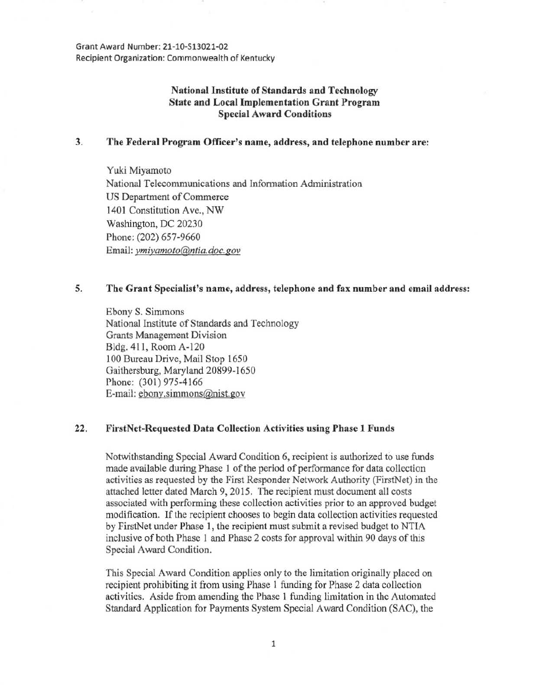Grant Award Number: 21-10-S13021-02 Recipient Organization: Commonwealth of Kentucky

## National Institute of Standards and Technology State and Local Implementation Grant Program Special Award Conditions

### 3. The Federal Program Officer's name, address, and telephone number are:

Yuki Miyamoto National Telecommunications and Information Administration US Department of Commerce 1401 Constitution Ave., NW Washington, DC 20230 Phone: (202) 657-9660 Email: *ymiyamoto@ntia.doc.gov* 

# *5.* The Grant Specialist's name, address, telephone and fax number and email address:

Ebony S. Simmons National Institute of Standards and Technology Grants Management Division Bldg. 411, Room A-120 100 Bureau Drive, Mail Stop 1650 Gaithersburg, Maryland 20899-1650 Phone: (301) 975-4166 E-mail: ebony.simmons@nist.gov

#### 22. FirstNet-Requested Data Collection Activities using Phase 1 Funds

Notwithstanding Special Award Condition 6, recipient is authorized to use funds made available during Phase 1 of the period of performance for data collection activities as requested by the First Responder Network Authority (FirstNet) in the attached letter dated March 9, 2015. The recipient must document all costs associated with performing these collection activities prior to an approved budget modification. If the recipient chooses to begin data collection activities requested by FirstNet under Phase 1, the recipient must submit a revised budget to NTIA inclusive of both Phase 1 and Phase 2 costs for approval within 90 days of this Special Award Condition.

This Special Award Condition applies only to the limitation originally placed on recipient prohibiting it from using Phase 1 funding for Phase 2 data collection activities. Aside from amending the Phase 1 funding limitation in the Automated Standard Application for Payments System Special Award Condition (SAC), the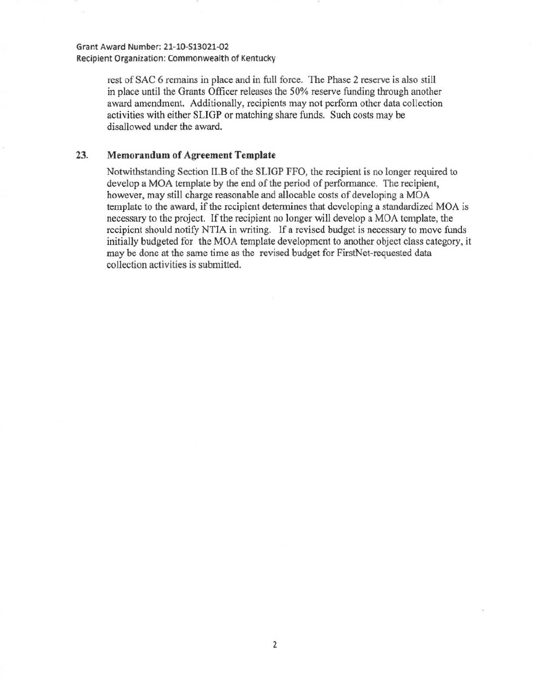Grant Award Number: 21-10-513021.02 Recipient Organization: Commonwealth of Kentucky

> rest of SAC 6 remains in place and in full force. The Phase 2 reserve is also still in place until the Grants Officer releases the SO% reserve funding through another award amendment. Additionally, recipients may not perform other data collection activities with either SLIGP or matching share funds. Such costs may be disallowed under the award.

#### 23. **Memorandum of Agreement Template**

Notwithstanding Section II.B of the SLIGP FFO, the recipient is no longer required to develop a MOA template by the end of the period of performance. The recipient, however, may still charge reasonable and allocable costs of developing a MOA template to the award, if the recipient determines that developing a standardized MOA is necessary to the project. If the recipient no longer will develop a MOA template, the recipient should notify NTIA in writing. If a revised budget is necessary to move funds initially budgeted for the MOA template development to another object class category, it may be done at the same time as the revised budget for FirstNet-requested data collection activities is submitted.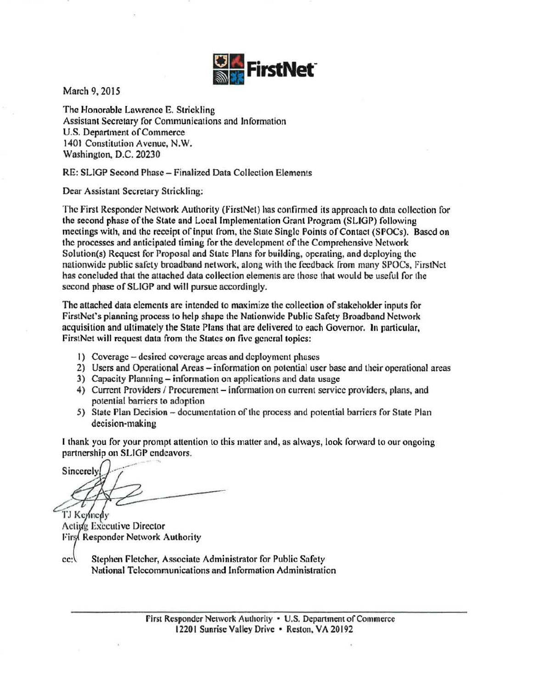

March 9, 2015

The Honorable lawrence E. Strickling Assistant Secretary for Communications and Information U.S. Department of Commerce 1401 Constitution Avenue, N.W. Washington, D.C. 20230

#### RE: SLIGP Second Phase- Finalized Data Collection Elements

Dear Assistant Secretary Strickling:

The First Responder Network Authority (FirstNet) has confirmed its approach to data collection for the second phase of the State and Local Implementation Grant Program (SLIGP) following meetings with, and the receipt of input from, the State Single Points of Contact (SPOCs). Based on the processes and anticipated timing for the development of the Comprehensive Network Solution{s) Request for Proposal and State Plans for building, operating, and deploying the nationwide public safety broadband network, along with the feedback from many SPOCs, FirstNet has concluded that the attached data collection elements are those that would be useful for the second phase of SLIGP and will pursue accordingly.

The attached data elements are intended to maximize the collection of stakeholder inputs for FirstNel's planning process to help shape the Nationwide Public Safety Broadband Network acquisition and ultimately the State Plans that are delivered to each Governor. In particular, FirstNet will request data from the States on five general topics:

- 1) Coverage desired coverage areas and deployment phases
- 2) Users and Operational Areas- information on potential user base and their operational areas
- 3) Capacity Planning information on applications and data usage
- 4) Current Providers / Procurement information on current service providers, plans, and potential barriers to adoption
- 5) State Plan Decision documentation of the process and potential barriers for State Plan decision-making

I thank you for your prompt attention to this matter and, as always, look forward to our ongoing partnership on SLIGP endeavors.

Sincerely

TJ Keynedy Activg Executive Director First Responder Network Authority

Stephen Fletcher, Associate Administrator for Public Safety  $cc$ : National Telecommunications and Information Administration